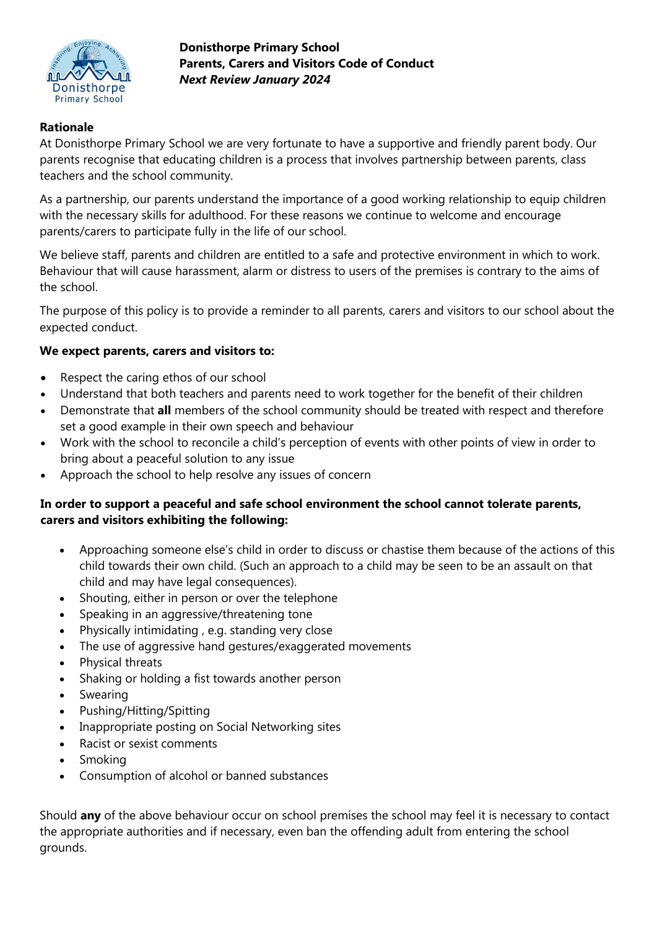

**Donisthorpe Primary School Parents, Carers and Visitors Code of Conduct**  *Next Review January 2024*

## **Rationale**

At Donisthorpe Primary School we are very fortunate to have a supportive and friendly parent body. Our parents recognise that educating children is a process that involves partnership between parents, class teachers and the school community.

As a partnership, our parents understand the importance of a good working relationship to equip children with the necessary skills for adulthood. For these reasons we continue to welcome and encourage parents/carers to participate fully in the life of our school.

We believe staff, parents and children are entitled to a safe and protective environment in which to work. Behaviour that will cause harassment, alarm or distress to users of the premises is contrary to the aims of the school.

The purpose of this policy is to provide a reminder to all parents, carers and visitors to our school about the expected conduct.

## **We expect parents, carers and visitors to:**

- Respect the caring ethos of our school
- Understand that both teachers and parents need to work together for the benefit of their children
- Demonstrate that **all** members of the school community should be treated with respect and therefore set a good example in their own speech and behaviour
- Work with the school to reconcile a child's perception of events with other points of view in order to bring about a peaceful solution to any issue
- Approach the school to help resolve any issues of concern

## **In order to support a peaceful and safe school environment the school cannot tolerate parents, carers and visitors exhibiting the following:**

- Approaching someone else's child in order to discuss or chastise them because of the actions of this child towards their own child. (Such an approach to a child may be seen to be an assault on that child and may have legal consequences).
- Shouting, either in person or over the telephone
- Speaking in an aggressive/threatening tone
- Physically intimidating , e.g. standing very close
- The use of aggressive hand gestures/exaggerated movements
- Physical threats
- Shaking or holding a fist towards another person
- Swearing
- Pushing/Hitting/Spitting
- Inappropriate posting on Social Networking sites
- Racist or sexist comments
- Smoking
- Consumption of alcohol or banned substances

Should **any** of the above behaviour occur on school premises the school may feel it is necessary to contact the appropriate authorities and if necessary, even ban the offending adult from entering the school grounds.